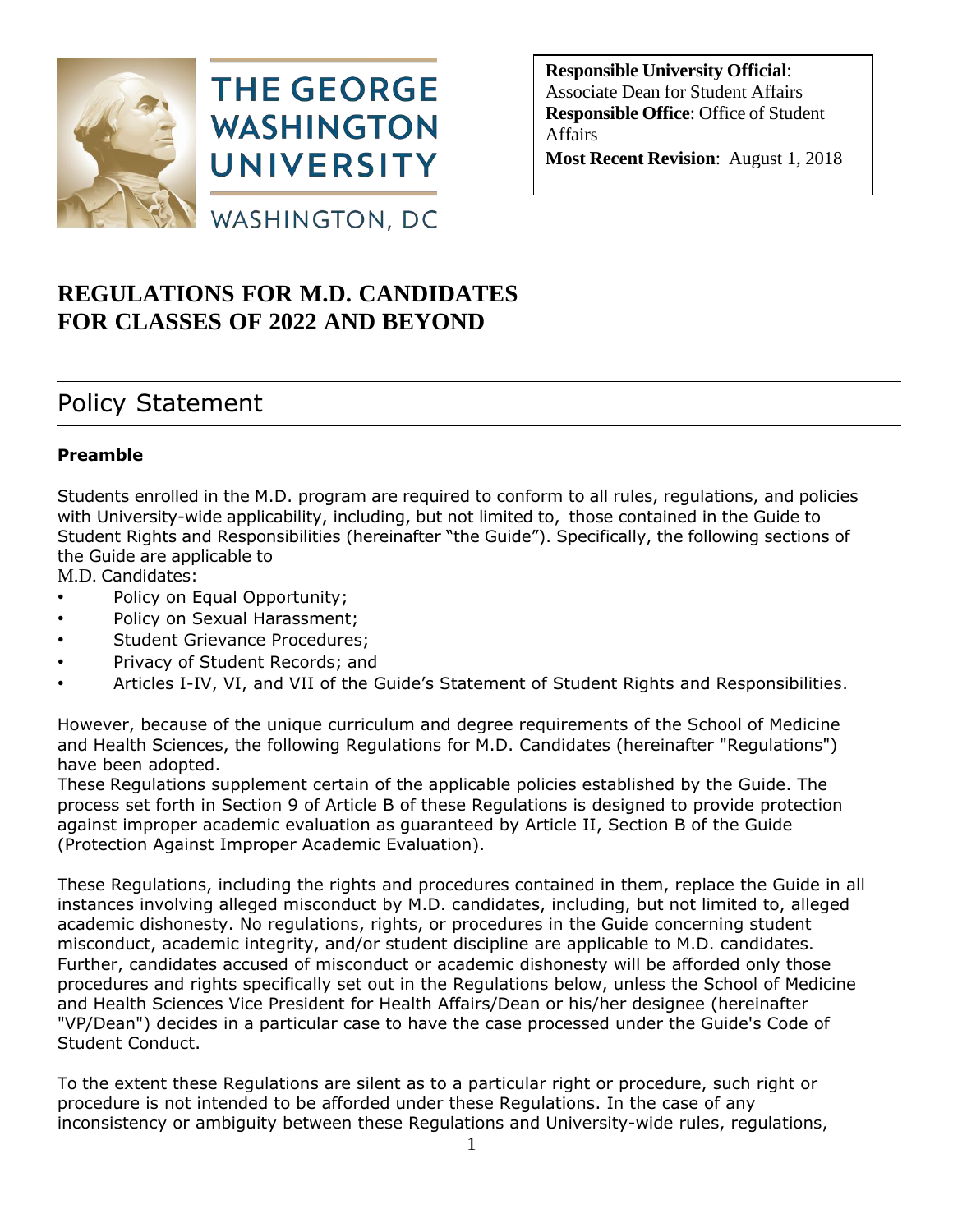

**Responsible University Official**: Associate Dean for Student Affairs **Responsible Office**: Office of Student Affairs **Most Recent Revision**: August 1, 2018

# **REGULATIONS FOR M.D. CANDIDATES FOR CLASSES OF 2022 AND BEYOND**

# Policy Statement

### **Preamble**

Students enrolled in the M.D. program are required to conform to all rules, regulations, and policies with University-wide applicability, including, but not limited to, those contained in the Guide to Student Rights and Responsibilities (hereinafter "the Guide"). Specifically, the following sections of the Guide are applicable to

M.D. Candidates:

- Policy on Equal Opportunity;
- Policy on Sexual Harassment;
- Student Grievance Procedures;
- Privacy of Student Records; and
- Articles I-IV, VI, and VII of the Guide's Statement of Student Rights and Responsibilities.

However, because of the unique curriculum and degree requirements of the School of Medicine and Health Sciences, the following Regulations for M.D. Candidates (hereinafter "Regulations") have been adopted.

These Regulations supplement certain of the applicable policies established by the Guide. The process set forth in Section 9 of Article B of these Regulations is designed to provide protection against improper academic evaluation as guaranteed by Article II, Section B of the Guide (Protection Against Improper Academic Evaluation).

These Regulations, including the rights and procedures contained in them, replace the Guide in all instances involving alleged misconduct by M.D. candidates, including, but not limited to, alleged academic dishonesty. No regulations, rights, or procedures in the Guide concerning student misconduct, academic integrity, and/or student discipline are applicable to M.D. candidates. Further, candidates accused of misconduct or academic dishonesty will be afforded only those procedures and rights specifically set out in the Regulations below, unless the School of Medicine and Health Sciences Vice President for Health Affairs/Dean or his/her designee (hereinafter "VP/Dean") decides in a particular case to have the case processed under the Guide's Code of Student Conduct.

To the extent these Regulations are silent as to a particular right or procedure, such right or procedure is not intended to be afforded under these Regulations. In the case of any inconsistency or ambiguity between these Regulations and University-wide rules, regulations,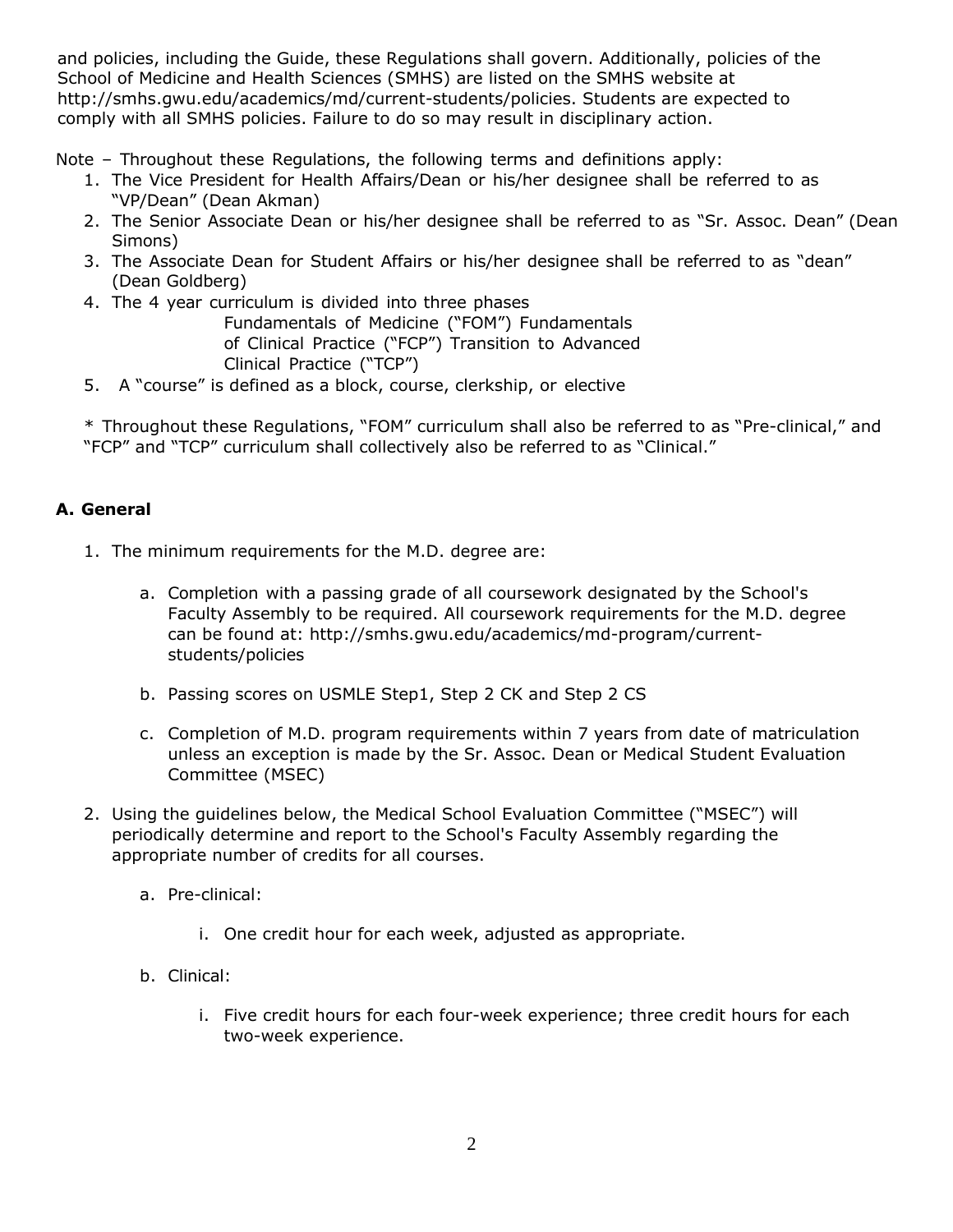and policies, including the Guide, these Regulations shall govern. Additionally, policies of the School of Medicine and Health Sciences (SMHS) are listed on the SMHS website at http://smhs.gwu.edu/academics/md/current-students/policies. Students are expected to comply with all SMHS policies. Failure to do so may result in disciplinary action.

Note – Throughout these Regulations, the following terms and definitions apply:

- 1. The Vice President for Health Affairs/Dean or his/her designee shall be referred to as "VP/Dean" (Dean Akman)
- 2. The Senior Associate Dean or his/her designee shall be referred to as "Sr. Assoc. Dean" (Dean Simons)
- 3. The Associate Dean for Student Affairs or his/her designee shall be referred to as "dean" (Dean Goldberg)
- 4. The 4 year curriculum is divided into three phases Fundamentals of Medicine ("FOM") Fundamentals of Clinical Practice ("FCP") Transition to Advanced Clinical Practice ("TCP")
- 5. A "course" is defined as a block, course, clerkship, or elective

\* Throughout these Regulations, "FOM" curriculum shall also be referred to as "Pre-clinical," and "FCP" and "TCP" curriculum shall collectively also be referred to as "Clinical."

### **A. General**

- 1. The minimum requirements for the M.D. degree are:
	- a. Completion with a passing grade of all coursework designated by the School's Faculty Assembly to be required. All coursework requirements for the M.D. degree can be found at: http://smhs.gwu.edu/academics/md-program/currentstudents/policies
	- b. Passing scores on USMLE Step1, Step 2 CK and Step 2 CS
	- c. Completion of M.D. program requirements within 7 years from date of matriculation unless an exception is made by the Sr. Assoc. Dean or Medical Student Evaluation Committee (MSEC)
- 2. Using the guidelines below, the Medical School Evaluation Committee ("MSEC") will periodically determine and report to the School's Faculty Assembly regarding the appropriate number of credits for all courses.
	- a. Pre-clinical:
		- i. One credit hour for each week, adjusted as appropriate.
	- b. Clinical:
		- i. Five credit hours for each four-week experience; three credit hours for each two-week experience.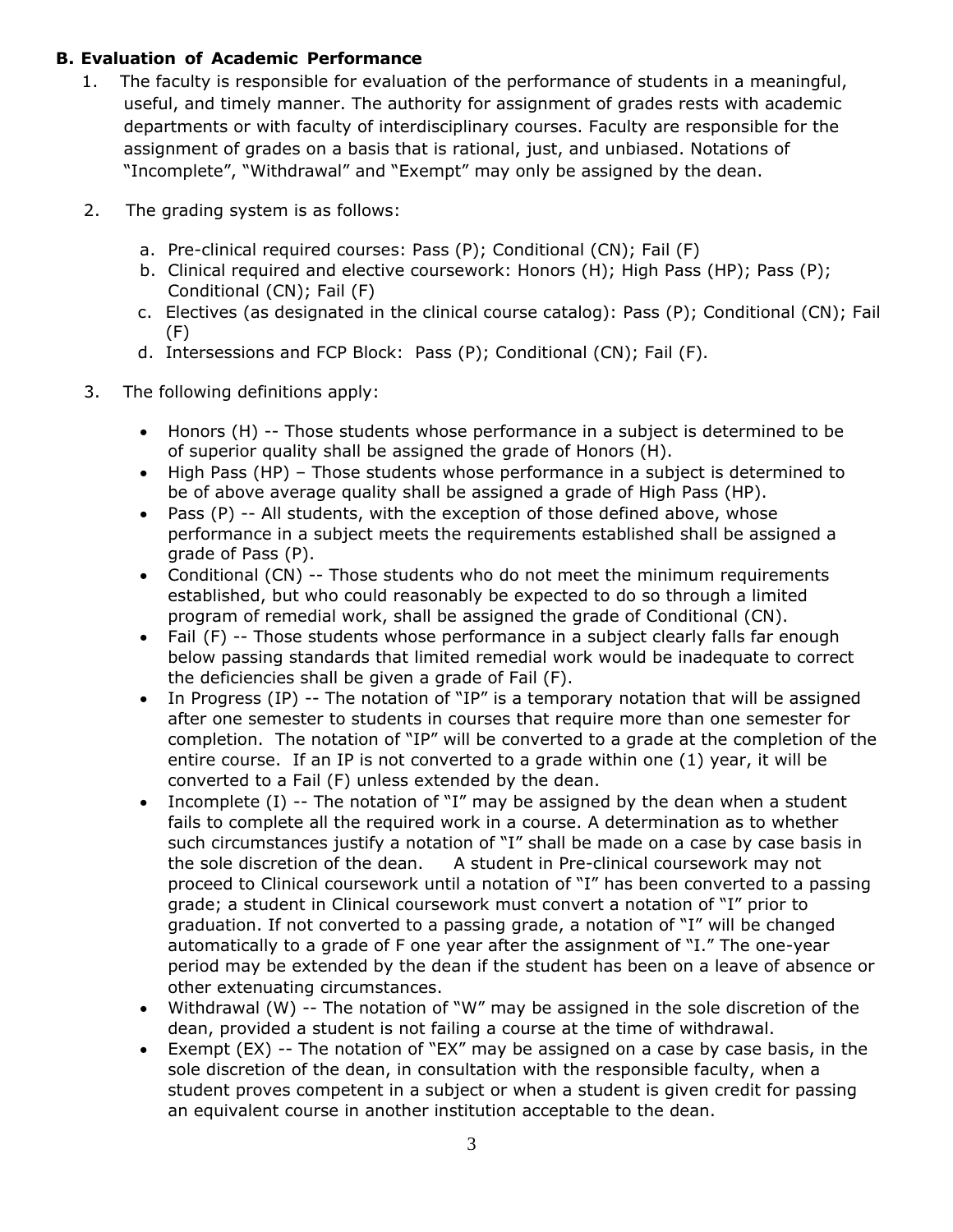### **B. Evaluation of Academic Performance**

- 1. The faculty is responsible for evaluation of the performance of students in a meaningful, useful, and timely manner. The authority for assignment of grades rests with academic departments or with faculty of interdisciplinary courses. Faculty are responsible for the assignment of grades on a basis that is rational, just, and unbiased. Notations of "Incomplete", "Withdrawal" and "Exempt" may only be assigned by the dean.
- 2. The grading system is as follows:
	- a. Pre-clinical required courses: Pass (P); Conditional (CN); Fail (F)
	- b. Clinical required and elective coursework: Honors (H); High Pass (HP); Pass (P); Conditional (CN); Fail (F)
	- c. Electives (as designated in the clinical course catalog): Pass (P); Conditional (CN); Fail (F)
	- d. Intersessions and FCP Block: Pass (P); Conditional (CN); Fail (F).
- 3. The following definitions apply:
	- Honors (H) -- Those students whose performance in a subject is determined to be of superior quality shall be assigned the grade of Honors (H).
	- High Pass (HP) Those students whose performance in a subject is determined to be of above average quality shall be assigned a grade of High Pass (HP).
	- Pass  $(P)$  -- All students, with the exception of those defined above, whose performance in a subject meets the requirements established shall be assigned a grade of Pass (P).
	- Conditional (CN) -- Those students who do not meet the minimum requirements established, but who could reasonably be expected to do so through a limited program of remedial work, shall be assigned the grade of Conditional (CN).
	- Fail (F) -- Those students whose performance in a subject clearly falls far enough below passing standards that limited remedial work would be inadequate to correct the deficiencies shall be given a grade of Fail (F).
	- In Progress (IP) -- The notation of "IP" is a temporary notation that will be assigned after one semester to students in courses that require more than one semester for completion. The notation of "IP" will be converted to a grade at the completion of the entire course. If an IP is not converted to a grade within one (1) year, it will be converted to a Fail (F) unless extended by the dean.
	- Incomplete  $(I)$  -- The notation of "I" may be assigned by the dean when a student fails to complete all the required work in a course. A determination as to whether such circumstances justify a notation of "I" shall be made on a case by case basis in the sole discretion of the dean. A student in Pre-clinical coursework may not proceed to Clinical coursework until a notation of "I" has been converted to a passing grade; a student in Clinical coursework must convert a notation of "I" prior to graduation. If not converted to a passing grade, a notation of "I" will be changed automatically to a grade of F one year after the assignment of "I." The one-year period may be extended by the dean if the student has been on a leave of absence or other extenuating circumstances.
	- Withdrawal (W) -- The notation of "W" may be assigned in the sole discretion of the dean, provided a student is not failing a course at the time of withdrawal.
	- Exempt (EX) -- The notation of "EX" may be assigned on a case by case basis, in the sole discretion of the dean, in consultation with the responsible faculty, when a student proves competent in a subject or when a student is given credit for passing an equivalent course in another institution acceptable to the dean.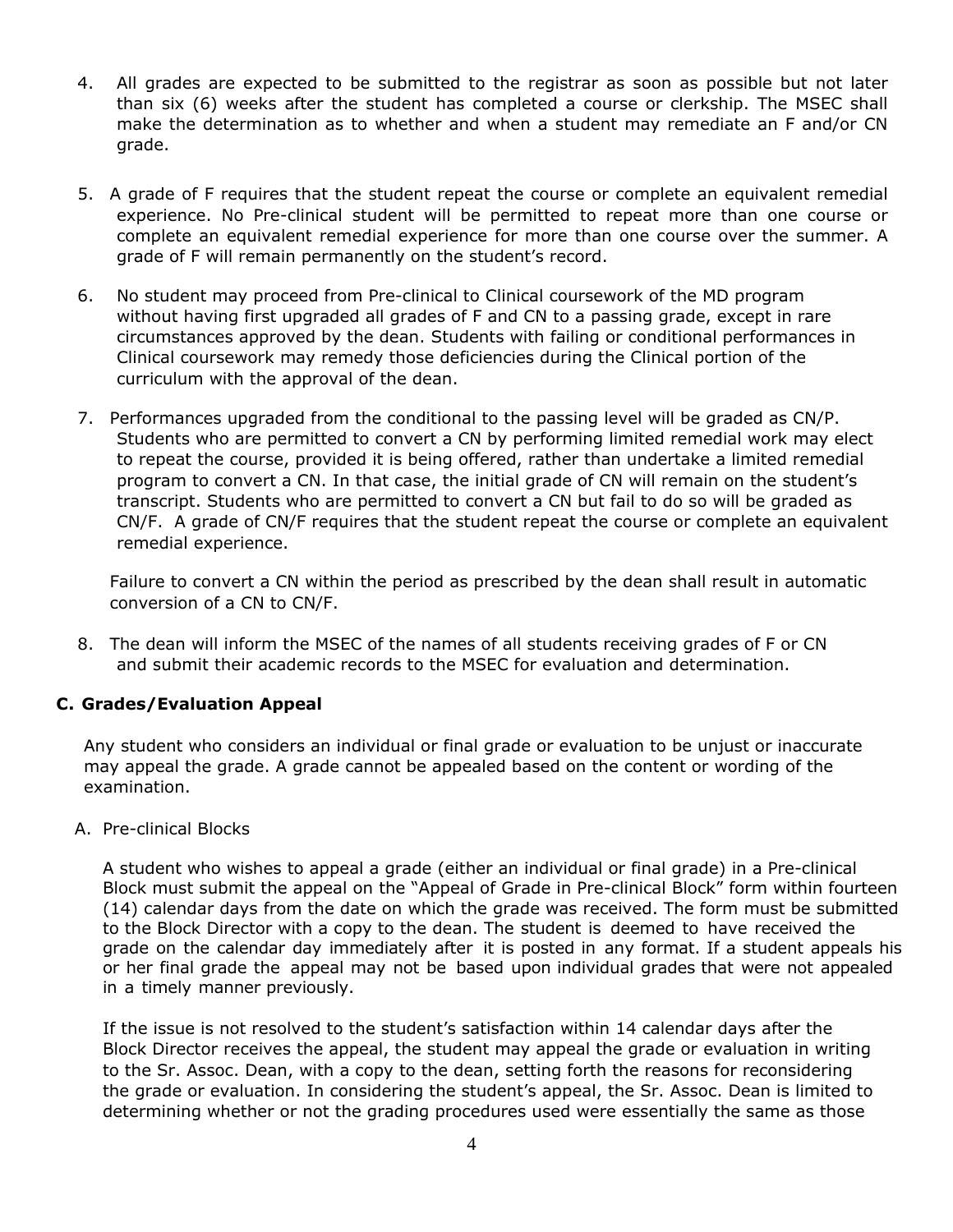- 4. All grades are expected to be submitted to the registrar as soon as possible but not later than six (6) weeks after the student has completed a course or clerkship. The MSEC shall make the determination as to whether and when a student may remediate an F and/or CN grade.
- 5. A grade of F requires that the student repeat the course or complete an equivalent remedial experience. No Pre-clinical student will be permitted to repeat more than one course or complete an equivalent remedial experience for more than one course over the summer. A grade of F will remain permanently on the student's record.
- 6. No student may proceed from Pre-clinical to Clinical coursework of the MD program without having first upgraded all grades of F and CN to a passing grade, except in rare circumstances approved by the dean. Students with failing or conditional performances in Clinical coursework may remedy those deficiencies during the Clinical portion of the curriculum with the approval of the dean.
- 7. Performances upgraded from the conditional to the passing level will be graded as CN/P. Students who are permitted to convert a CN by performing limited remedial work may elect to repeat the course, provided it is being offered, rather than undertake a limited remedial program to convert a CN. In that case, the initial grade of CN will remain on the student's transcript. Students who are permitted to convert a CN but fail to do so will be graded as CN/F. A grade of CN/F requires that the student repeat the course or complete an equivalent remedial experience.

Failure to convert a CN within the period as prescribed by the dean shall result in automatic conversion of a CN to CN/F.

8. The dean will inform the MSEC of the names of all students receiving grades of F or CN and submit their academic records to the MSEC for evaluation and determination.

#### **C. Grades/Evaluation Appeal**

Any student who considers an individual or final grade or evaluation to be unjust or inaccurate may appeal the grade. A grade cannot be appealed based on the content or wording of the examination.

A. Pre-clinical Blocks

A student who wishes to appeal a grade (either an individual or final grade) in a Pre-clinical Block must submit the appeal on the "Appeal of Grade in Pre-clinical Block" form within fourteen (14) calendar days from the date on which the grade was received. The form must be submitted to the Block Director with a copy to the dean. The student is deemed to have received the grade on the calendar day immediately after it is posted in any format. If a student appeals his or her final grade the appeal may not be based upon individual grades that were not appealed in a timely manner previously.

If the issue is not resolved to the student's satisfaction within 14 calendar days after the Block Director receives the appeal, the student may appeal the grade or evaluation in writing to the Sr. Assoc. Dean, with a copy to the dean, setting forth the reasons for reconsidering the grade or evaluation. In considering the student's appeal, the Sr. Assoc. Dean is limited to determining whether or not the grading procedures used were essentially the same as those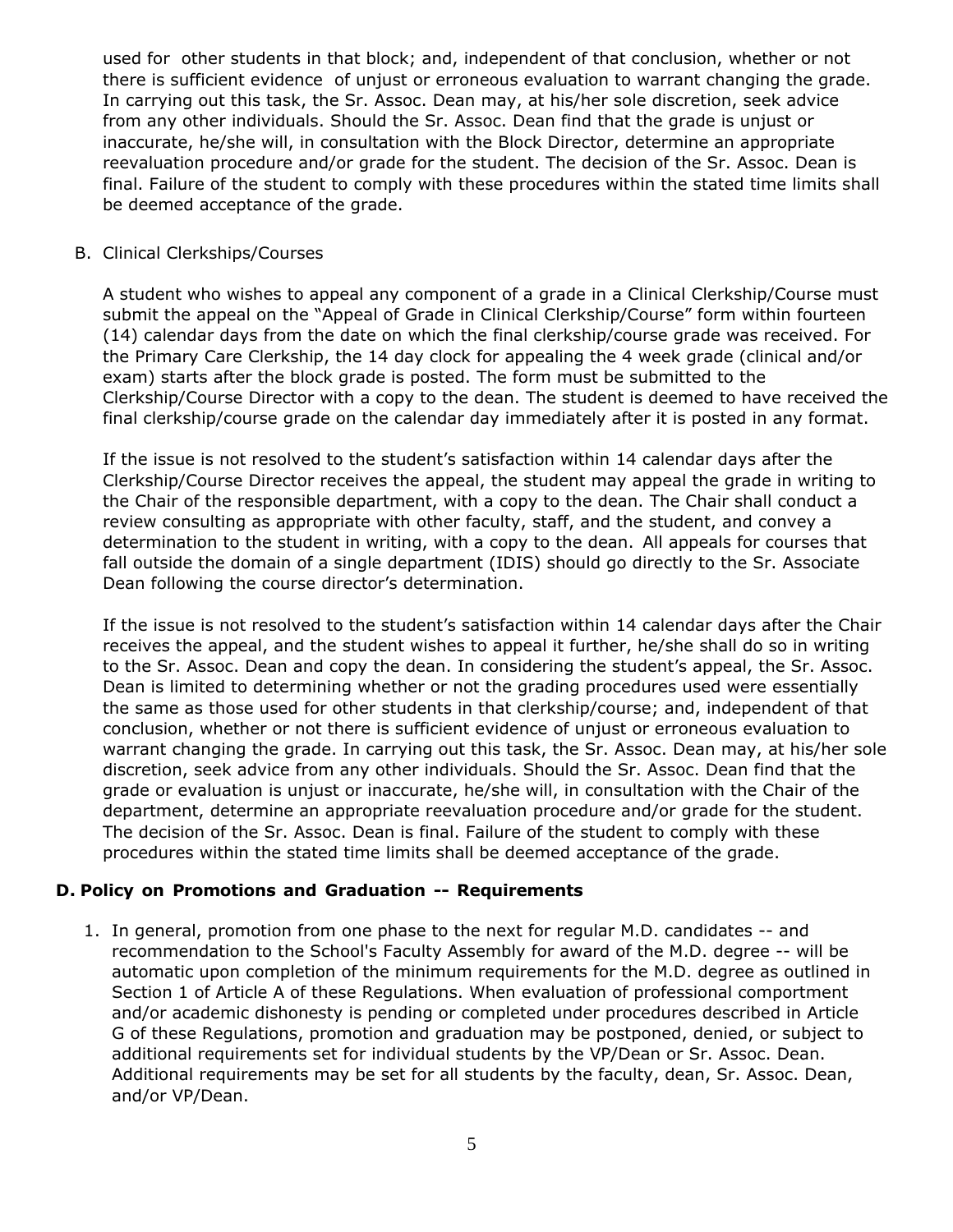used for other students in that block; and, independent of that conclusion, whether or not there is sufficient evidence of unjust or erroneous evaluation to warrant changing the grade. In carrying out this task, the Sr. Assoc. Dean may, at his/her sole discretion, seek advice from any other individuals. Should the Sr. Assoc. Dean find that the grade is unjust or inaccurate, he/she will, in consultation with the Block Director, determine an appropriate reevaluation procedure and/or grade for the student. The decision of the Sr. Assoc. Dean is final. Failure of the student to comply with these procedures within the stated time limits shall be deemed acceptance of the grade.

#### B. Clinical Clerkships/Courses

A student who wishes to appeal any component of a grade in a Clinical Clerkship/Course must submit the appeal on the "Appeal of Grade in Clinical Clerkship/Course" form within fourteen (14) calendar days from the date on which the final clerkship/course grade was received. For the Primary Care Clerkship, the 14 day clock for appealing the 4 week grade (clinical and/or exam) starts after the block grade is posted. The form must be submitted to the Clerkship/Course Director with a copy to the dean. The student is deemed to have received the final clerkship/course grade on the calendar day immediately after it is posted in any format.

If the issue is not resolved to the student's satisfaction within 14 calendar days after the Clerkship/Course Director receives the appeal, the student may appeal the grade in writing to the Chair of the responsible department, with a copy to the dean. The Chair shall conduct a review consulting as appropriate with other faculty, staff, and the student, and convey a determination to the student in writing, with a copy to the dean. All appeals for courses that fall outside the domain of a single department (IDIS) should go directly to the Sr. Associate Dean following the course director's determination.

If the issue is not resolved to the student's satisfaction within 14 calendar days after the Chair receives the appeal, and the student wishes to appeal it further, he/she shall do so in writing to the Sr. Assoc. Dean and copy the dean. In considering the student's appeal, the Sr. Assoc. Dean is limited to determining whether or not the grading procedures used were essentially the same as those used for other students in that clerkship/course; and, independent of that conclusion, whether or not there is sufficient evidence of unjust or erroneous evaluation to warrant changing the grade. In carrying out this task, the Sr. Assoc. Dean may, at his/her sole discretion, seek advice from any other individuals. Should the Sr. Assoc. Dean find that the grade or evaluation is unjust or inaccurate, he/she will, in consultation with the Chair of the department, determine an appropriate reevaluation procedure and/or grade for the student. The decision of the Sr. Assoc. Dean is final. Failure of the student to comply with these procedures within the stated time limits shall be deemed acceptance of the grade.

#### **D. Policy on Promotions and Graduation -- Requirements**

1. In general, promotion from one phase to the next for regular M.D. candidates -- and recommendation to the School's Faculty Assembly for award of the M.D. degree -- will be automatic upon completion of the minimum requirements for the M.D. degree as outlined in Section 1 of Article A of these Regulations. When evaluation of professional comportment and/or academic dishonesty is pending or completed under procedures described in Article G of these Regulations, promotion and graduation may be postponed, denied, or subject to additional requirements set for individual students by the VP/Dean or Sr. Assoc. Dean. Additional requirements may be set for all students by the faculty, dean, Sr. Assoc. Dean, and/or VP/Dean.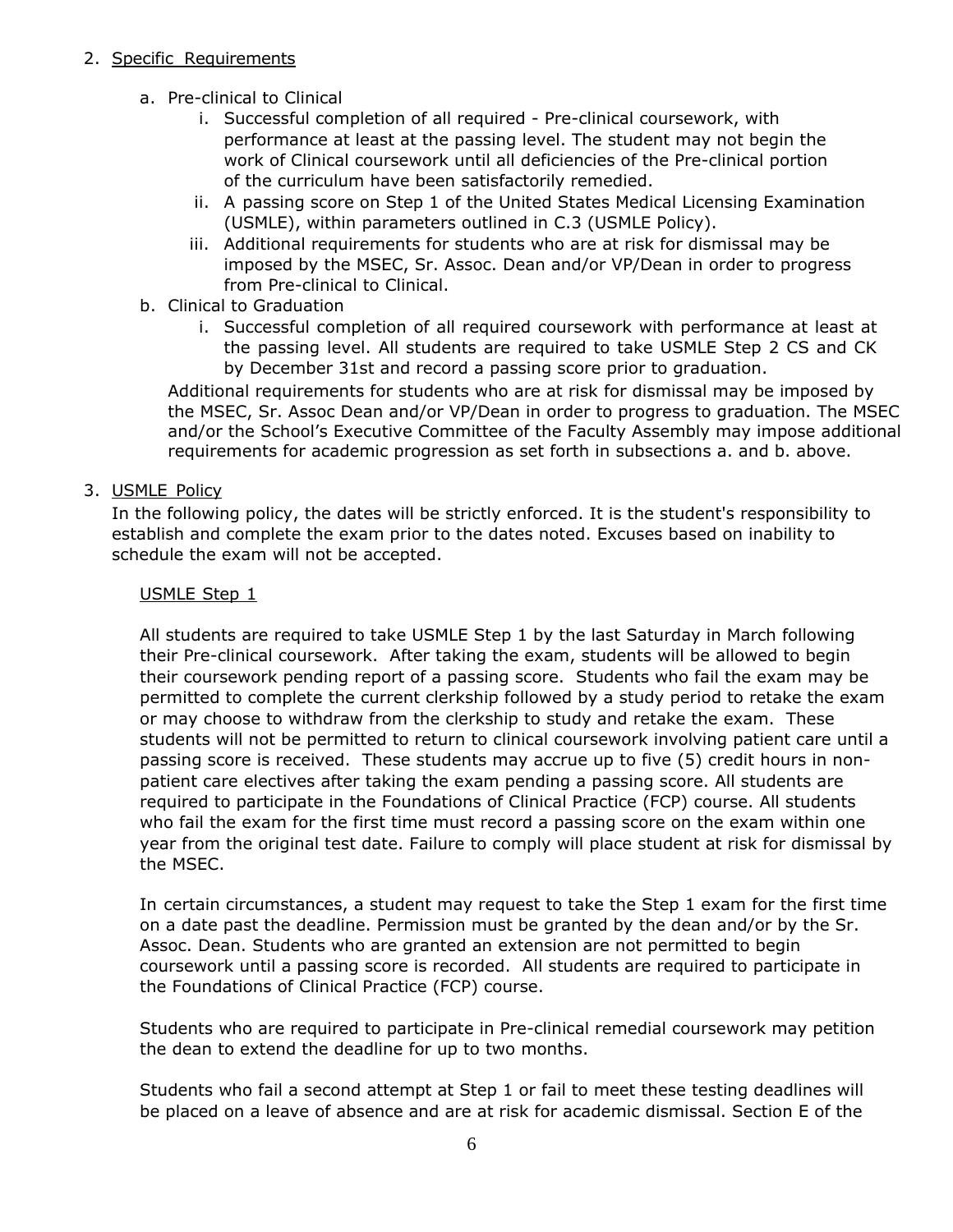#### 2. Specific Requirements

- a. Pre-clinical to Clinical
	- i. Successful completion of all required Pre-clinical coursework, with performance at least at the passing level. The student may not begin the work of Clinical coursework until all deficiencies of the Pre-clinical portion of the curriculum have been satisfactorily remedied.
	- ii. A passing score on Step 1 of the United States Medical Licensing Examination (USMLE), within parameters outlined in C.3 (USMLE Policy).
	- iii. Additional requirements for students who are at risk for dismissal may be imposed by the MSEC, Sr. Assoc. Dean and/or VP/Dean in order to progress from Pre-clinical to Clinical.
- b. Clinical to Graduation
	- i. Successful completion of all required coursework with performance at least at the passing level. All students are required to take USMLE Step 2 CS and CK by December 31st and record a passing score prior to graduation.

Additional requirements for students who are at risk for dismissal may be imposed by the MSEC, Sr. Assoc Dean and/or VP/Dean in order to progress to graduation. The MSEC and/or the School's Executive Committee of the Faculty Assembly may impose additional requirements for academic progression as set forth in subsections a. and b. above.

3. USMLE Policy

In the following policy, the dates will be strictly enforced. It is the student's responsibility to establish and complete the exam prior to the dates noted. Excuses based on inability to schedule the exam will not be accepted.

#### USMLE Step 1

All students are required to take USMLE Step 1 by the last Saturday in March following their Pre-clinical coursework. After taking the exam, students will be allowed to begin their coursework pending report of a passing score. Students who fail the exam may be permitted to complete the current clerkship followed by a study period to retake the exam or may choose to withdraw from the clerkship to study and retake the exam. These students will not be permitted to return to clinical coursework involving patient care until a passing score is received. These students may accrue up to five (5) credit hours in nonpatient care electives after taking the exam pending a passing score. All students are required to participate in the Foundations of Clinical Practice (FCP) course. All students who fail the exam for the first time must record a passing score on the exam within one year from the original test date. Failure to comply will place student at risk for dismissal by the MSEC.

In certain circumstances, a student may request to take the Step 1 exam for the first time on a date past the deadline. Permission must be granted by the dean and/or by the Sr. Assoc. Dean. Students who are granted an extension are not permitted to begin coursework until a passing score is recorded. All students are required to participate in the Foundations of Clinical Practice (FCP) course.

Students who are required to participate in Pre-clinical remedial coursework may petition the dean to extend the deadline for up to two months.

Students who fail a second attempt at Step 1 or fail to meet these testing deadlines will be placed on a leave of absence and are at risk for academic dismissal. Section E of the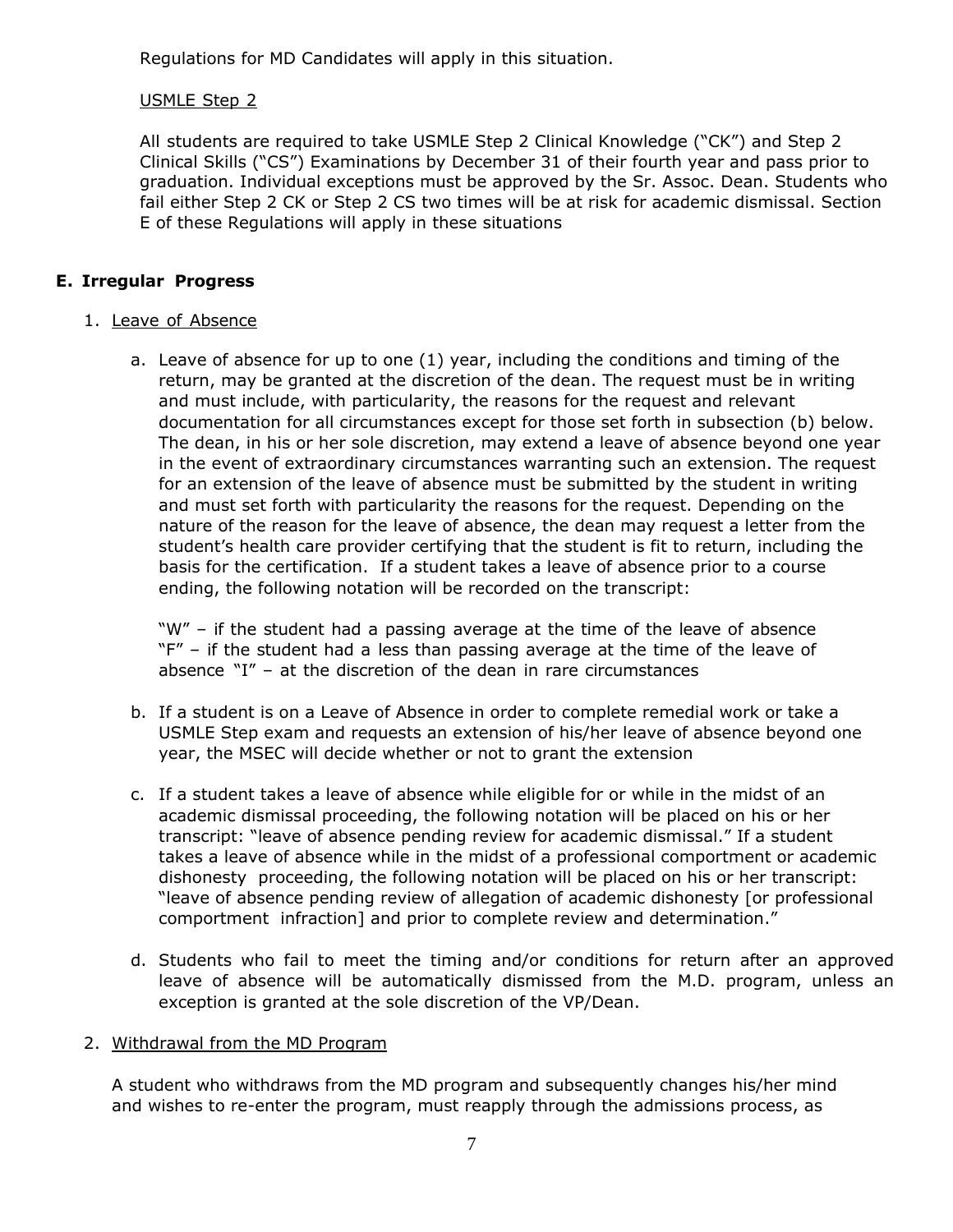Regulations for MD Candidates will apply in this situation.

#### USMLE Step 2

All students are required to take USMLE Step 2 Clinical Knowledge ("CK") and Step 2 Clinical Skills ("CS") Examinations by December 31 of their fourth year and pass prior to graduation. Individual exceptions must be approved by the Sr. Assoc. Dean. Students who fail either Step 2 CK or Step 2 CS two times will be at risk for academic dismissal. Section E of these Regulations will apply in these situations

#### **E. Irregular Progress**

#### 1. Leave of Absence

a. Leave of absence for up to one (1) year, including the conditions and timing of the return, may be granted at the discretion of the dean. The request must be in writing and must include, with particularity, the reasons for the request and relevant documentation for all circumstances except for those set forth in subsection (b) below. The dean, in his or her sole discretion, may extend a leave of absence beyond one year in the event of extraordinary circumstances warranting such an extension. The request for an extension of the leave of absence must be submitted by the student in writing and must set forth with particularity the reasons for the request. Depending on the nature of the reason for the leave of absence, the dean may request a letter from the student's health care provider certifying that the student is fit to return, including the basis for the certification. If a student takes a leave of absence prior to a course ending, the following notation will be recorded on the transcript:

"W" – if the student had a passing average at the time of the leave of absence "F" - if the student had a less than passing average at the time of the leave of absence "I" – at the discretion of the dean in rare circumstances

- b. If a student is on a Leave of Absence in order to complete remedial work or take a USMLE Step exam and requests an extension of his/her leave of absence beyond one year, the MSEC will decide whether or not to grant the extension
- c. If a student takes a leave of absence while eligible for or while in the midst of an academic dismissal proceeding, the following notation will be placed on his or her transcript: "leave of absence pending review for academic dismissal." If a student takes a leave of absence while in the midst of a professional comportment or academic dishonesty proceeding, the following notation will be placed on his or her transcript: "leave of absence pending review of allegation of academic dishonesty [or professional comportment infraction] and prior to complete review and determination."
- d. Students who fail to meet the timing and/or conditions for return after an approved leave of absence will be automatically dismissed from the M.D. program, unless an exception is granted at the sole discretion of the VP/Dean.

#### 2. Withdrawal from the MD Program

A student who withdraws from the MD program and subsequently changes his/her mind and wishes to re-enter the program, must reapply through the admissions process, as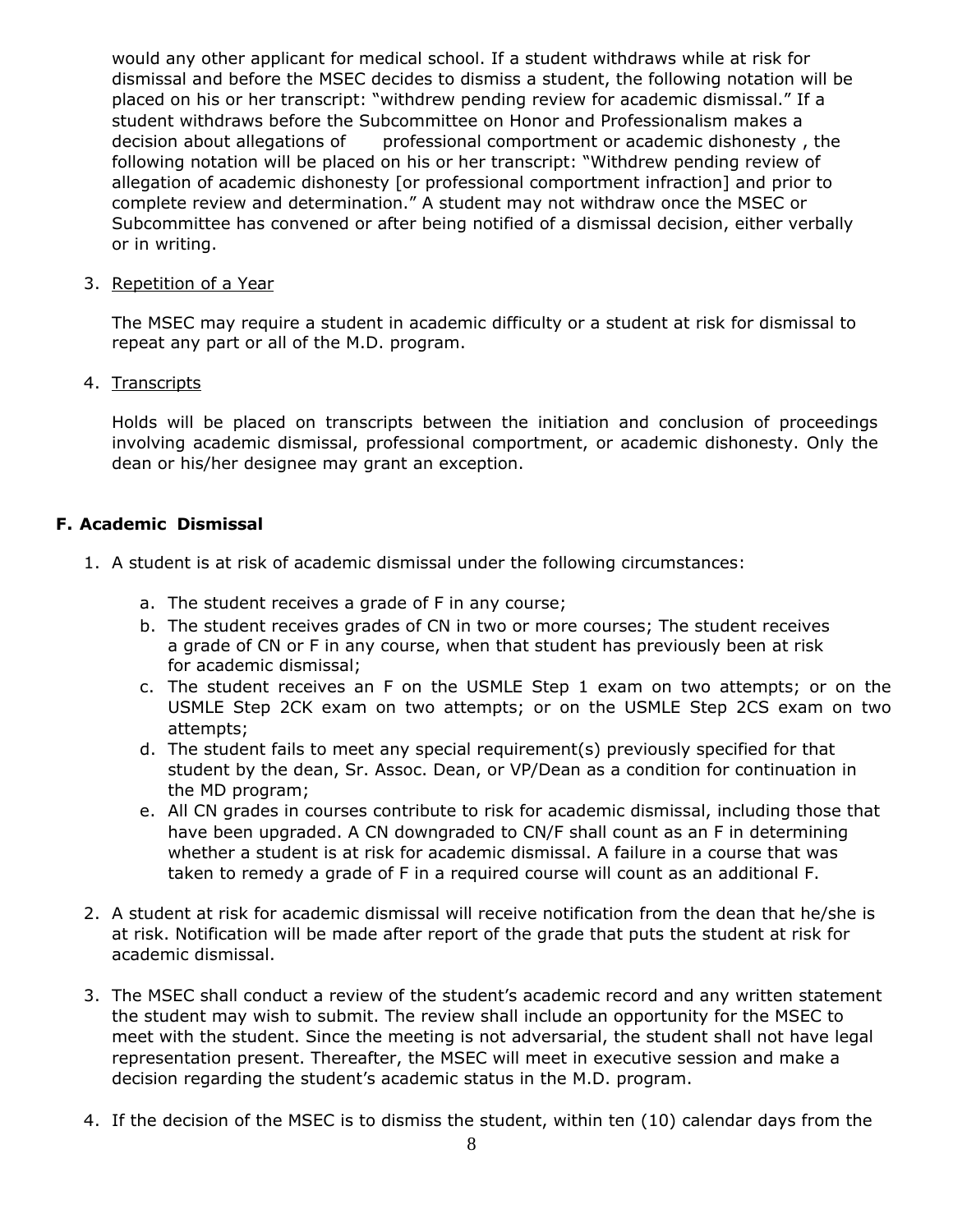would any other applicant for medical school. If a student withdraws while at risk for dismissal and before the MSEC decides to dismiss a student, the following notation will be placed on his or her transcript: "withdrew pending review for academic dismissal." If a student withdraws before the Subcommittee on Honor and Professionalism makes a decision about allegations of professional comportment or academic dishonesty, the following notation will be placed on his or her transcript: "Withdrew pending review of allegation of academic dishonesty [or professional comportment infraction] and prior to complete review and determination." A student may not withdraw once the MSEC or Subcommittee has convened or after being notified of a dismissal decision, either verbally or in writing.

#### 3. Repetition of a Year

The MSEC may require a student in academic difficulty or a student at risk for dismissal to repeat any part or all of the M.D. program.

#### 4. Transcripts

Holds will be placed on transcripts between the initiation and conclusion of proceedings involving academic dismissal, professional comportment, or academic dishonesty. Only the dean or his/her designee may grant an exception.

#### **F. Academic Dismissal**

- 1. A student is at risk of academic dismissal under the following circumstances:
	- a. The student receives a grade of F in any course;
	- b. The student receives grades of CN in two or more courses; The student receives a grade of CN or F in any course, when that student has previously been at risk for academic dismissal;
	- c. The student receives an F on the USMLE Step 1 exam on two attempts; or on the USMLE Step 2CK exam on two attempts; or on the USMLE Step 2CS exam on two attempts;
	- d. The student fails to meet any special requirement(s) previously specified for that student by the dean, Sr. Assoc. Dean, or VP/Dean as a condition for continuation in the MD program;
	- e. All CN grades in courses contribute to risk for academic dismissal, including those that have been upgraded. A CN downgraded to CN/F shall count as an F in determining whether a student is at risk for academic dismissal. A failure in a course that was taken to remedy a grade of F in a required course will count as an additional F.
- 2. A student at risk for academic dismissal will receive notification from the dean that he/she is at risk. Notification will be made after report of the grade that puts the student at risk for academic dismissal.
- 3. The MSEC shall conduct a review of the student's academic record and any written statement the student may wish to submit. The review shall include an opportunity for the MSEC to meet with the student. Since the meeting is not adversarial, the student shall not have legal representation present. Thereafter, the MSEC will meet in executive session and make a decision regarding the student's academic status in the M.D. program.
- 4. If the decision of the MSEC is to dismiss the student, within ten (10) calendar days from the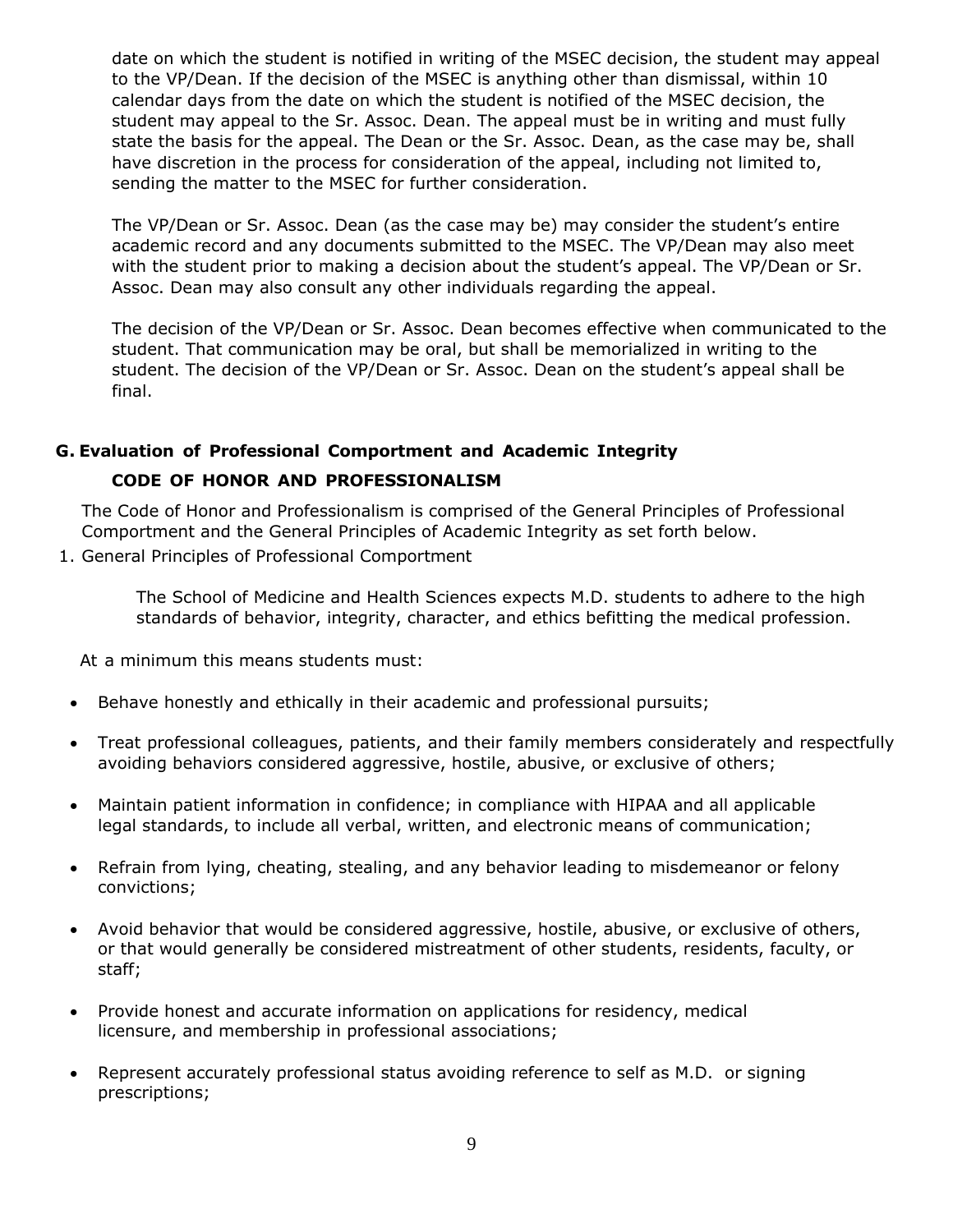date on which the student is notified in writing of the MSEC decision, the student may appeal to the VP/Dean. If the decision of the MSEC is anything other than dismissal, within 10 calendar days from the date on which the student is notified of the MSEC decision, the student may appeal to the Sr. Assoc. Dean. The appeal must be in writing and must fully state the basis for the appeal. The Dean or the Sr. Assoc. Dean, as the case may be, shall have discretion in the process for consideration of the appeal, including not limited to, sending the matter to the MSEC for further consideration.

The VP/Dean or Sr. Assoc. Dean (as the case may be) may consider the student's entire academic record and any documents submitted to the MSEC. The VP/Dean may also meet with the student prior to making a decision about the student's appeal. The VP/Dean or Sr. Assoc. Dean may also consult any other individuals regarding the appeal.

The decision of the VP/Dean or Sr. Assoc. Dean becomes effective when communicated to the student. That communication may be oral, but shall be memorialized in writing to the student. The decision of the VP/Dean or Sr. Assoc. Dean on the student's appeal shall be final.

#### **G. Evaluation of Professional Comportment and Academic Integrity**

#### **CODE OF HONOR AND PROFESSIONALISM**

The Code of Honor and Professionalism is comprised of the General Principles of Professional Comportment and the General Principles of Academic Integrity as set forth below.

1. General Principles of Professional Comportment

The School of Medicine and Health Sciences expects M.D. students to adhere to the high standards of behavior, integrity, character, and ethics befitting the medical profession.

At a minimum this means students must:

- Behave honestly and ethically in their academic and professional pursuits;
- Treat professional colleagues, patients, and their family members considerately and respectfully avoiding behaviors considered aggressive, hostile, abusive, or exclusive of others;
- Maintain patient information in confidence; in compliance with HIPAA and all applicable legal standards, to include all verbal, written, and electronic means of communication;
- Refrain from lying, cheating, stealing, and any behavior leading to misdemeanor or felony convictions;
- Avoid behavior that would be considered aggressive, hostile, abusive, or exclusive of others, or that would generally be considered mistreatment of other students, residents, faculty, or staff;
- Provide honest and accurate information on applications for residency, medical licensure, and membership in professional associations;
- Represent accurately professional status avoiding reference to self as M.D. or signing prescriptions;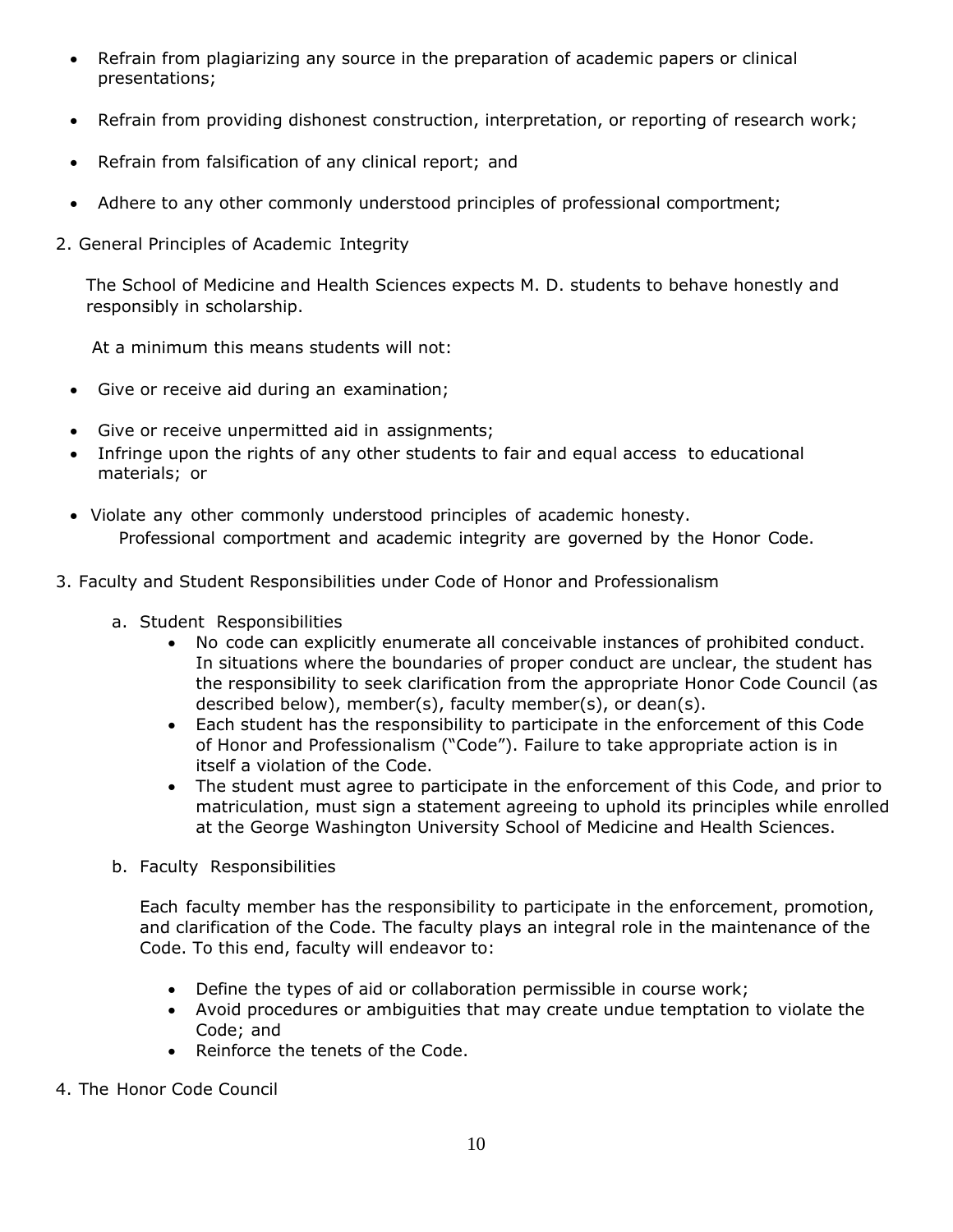- Refrain from plagiarizing any source in the preparation of academic papers or clinical presentations;
- Refrain from providing dishonest construction, interpretation, or reporting of research work;
- Refrain from falsification of any clinical report; and
- Adhere to any other commonly understood principles of professional comportment;
- 2. General Principles of Academic Integrity

The School of Medicine and Health Sciences expects M. D. students to behave honestly and responsibly in scholarship.

At a minimum this means students will not:

- Give or receive aid during an examination;
- Give or receive unpermitted aid in assignments;
- Infringe upon the rights of any other students to fair and equal access to educational materials; or
- Violate any other commonly understood principles of academic honesty. Professional comportment and academic integrity are governed by the Honor Code.
- 3. Faculty and Student Responsibilities under Code of Honor and Professionalism
	- a. Student Responsibilities
		- No code can explicitly enumerate all conceivable instances of prohibited conduct. In situations where the boundaries of proper conduct are unclear, the student has the responsibility to seek clarification from the appropriate Honor Code Council (as described below), member(s), faculty member(s), or dean(s).
		- Each student has the responsibility to participate in the enforcement of this Code of Honor and Professionalism ("Code"). Failure to take appropriate action is in itself a violation of the Code.
		- The student must agree to participate in the enforcement of this Code, and prior to matriculation, must sign a statement agreeing to uphold its principles while enrolled at the George Washington University School of Medicine and Health Sciences.
	- b. Faculty Responsibilities

Each faculty member has the responsibility to participate in the enforcement, promotion, and clarification of the Code. The faculty plays an integral role in the maintenance of the Code. To this end, faculty will endeavor to:

- Define the types of aid or collaboration permissible in course work;
- Avoid procedures or ambiguities that may create undue temptation to violate the Code; and
- Reinforce the tenets of the Code.
- 4. The Honor Code Council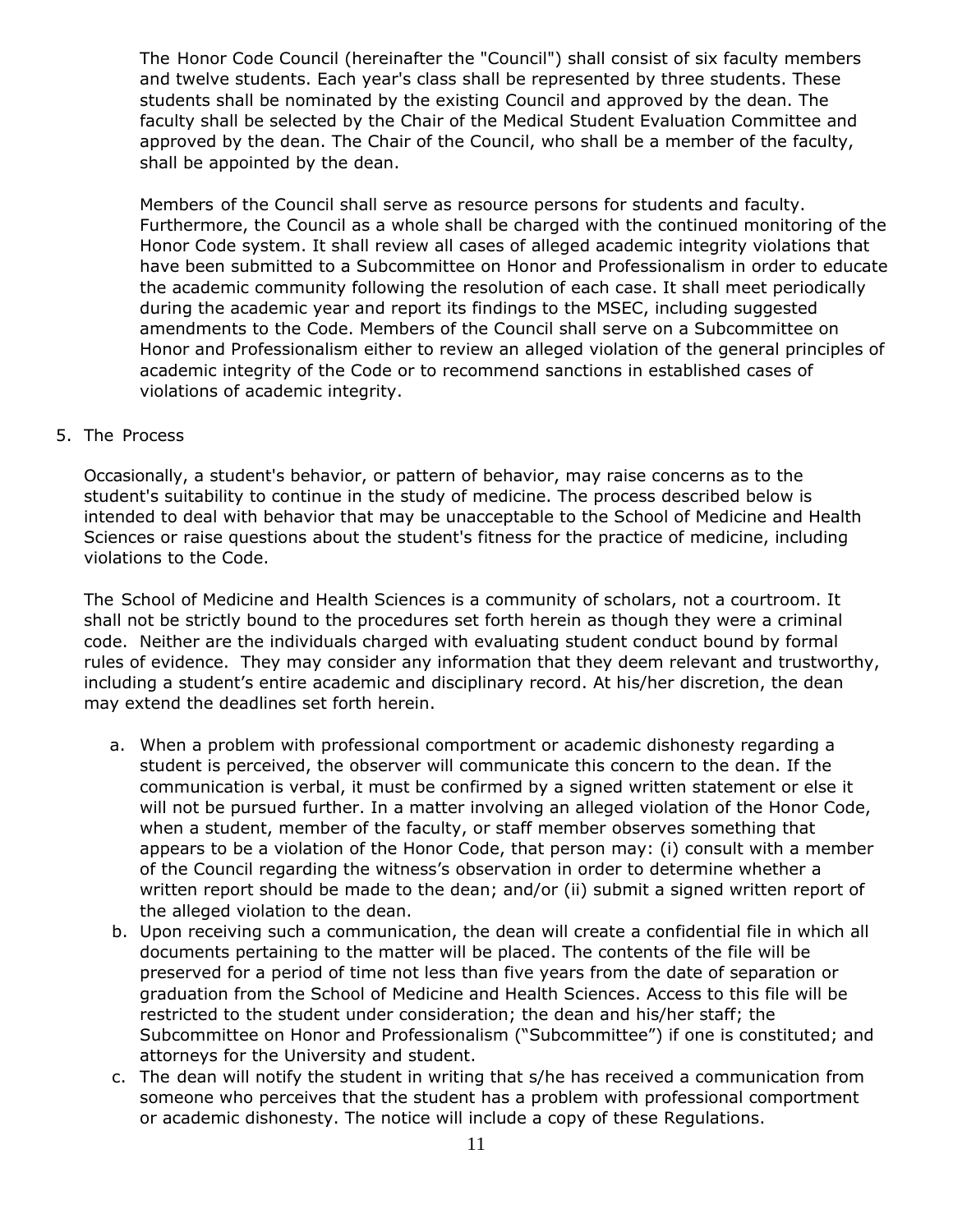The Honor Code Council (hereinafter the "Council") shall consist of six faculty members and twelve students. Each year's class shall be represented by three students. These students shall be nominated by the existing Council and approved by the dean. The faculty shall be selected by the Chair of the Medical Student Evaluation Committee and approved by the dean. The Chair of the Council, who shall be a member of the faculty, shall be appointed by the dean.

Members of the Council shall serve as resource persons for students and faculty. Furthermore, the Council as a whole shall be charged with the continued monitoring of the Honor Code system. It shall review all cases of alleged academic integrity violations that have been submitted to a Subcommittee on Honor and Professionalism in order to educate the academic community following the resolution of each case. It shall meet periodically during the academic year and report its findings to the MSEC, including suggested amendments to the Code. Members of the Council shall serve on a Subcommittee on Honor and Professionalism either to review an alleged violation of the general principles of academic integrity of the Code or to recommend sanctions in established cases of violations of academic integrity.

#### 5. The Process

Occasionally, a student's behavior, or pattern of behavior, may raise concerns as to the student's suitability to continue in the study of medicine. The process described below is intended to deal with behavior that may be unacceptable to the School of Medicine and Health Sciences or raise questions about the student's fitness for the practice of medicine, including violations to the Code.

The School of Medicine and Health Sciences is a community of scholars, not a courtroom. It shall not be strictly bound to the procedures set forth herein as though they were a criminal code. Neither are the individuals charged with evaluating student conduct bound by formal rules of evidence. They may consider any information that they deem relevant and trustworthy, including a student's entire academic and disciplinary record. At his/her discretion, the dean may extend the deadlines set forth herein.

- a. When a problem with professional comportment or academic dishonesty regarding a student is perceived, the observer will communicate this concern to the dean. If the communication is verbal, it must be confirmed by a signed written statement or else it will not be pursued further. In a matter involving an alleged violation of the Honor Code, when a student, member of the faculty, or staff member observes something that appears to be a violation of the Honor Code, that person may: (i) consult with a member of the Council regarding the witness's observation in order to determine whether a written report should be made to the dean; and/or (ii) submit a signed written report of the alleged violation to the dean.
- b. Upon receiving such a communication, the dean will create a confidential file in which all documents pertaining to the matter will be placed. The contents of the file will be preserved for a period of time not less than five years from the date of separation or graduation from the School of Medicine and Health Sciences. Access to this file will be restricted to the student under consideration; the dean and his/her staff; the Subcommittee on Honor and Professionalism ("Subcommittee") if one is constituted; and attorneys for the University and student.
- c. The dean will notify the student in writing that s/he has received a communication from someone who perceives that the student has a problem with professional comportment or academic dishonesty. The notice will include a copy of these Regulations.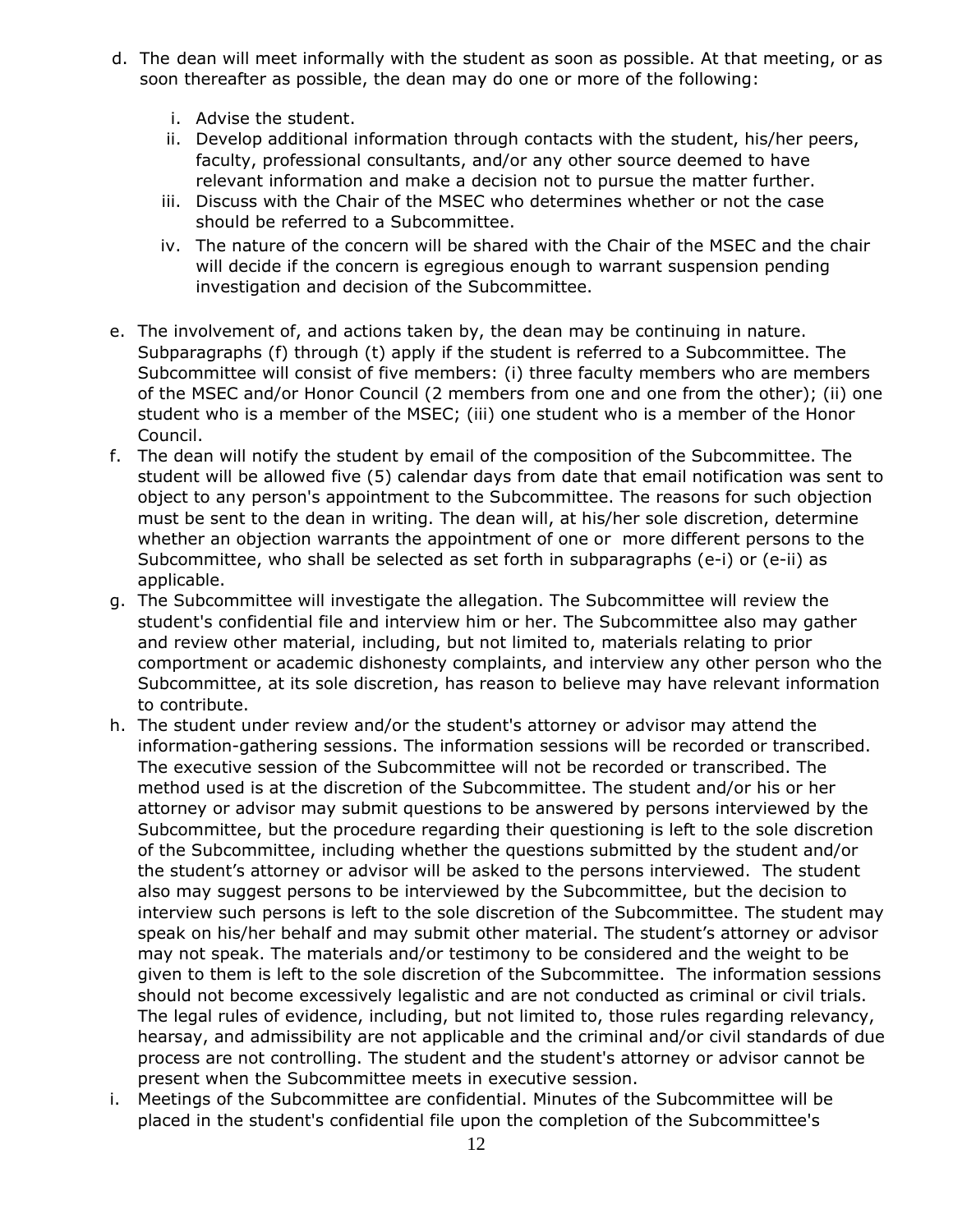- d. The dean will meet informally with the student as soon as possible. At that meeting, or as soon thereafter as possible, the dean may do one or more of the following:
	- i. Advise the student.
	- ii. Develop additional information through contacts with the student, his/her peers, faculty, professional consultants, and/or any other source deemed to have relevant information and make a decision not to pursue the matter further.
	- iii. Discuss with the Chair of the MSEC who determines whether or not the case should be referred to a Subcommittee.
	- iv. The nature of the concern will be shared with the Chair of the MSEC and the chair will decide if the concern is egregious enough to warrant suspension pending investigation and decision of the Subcommittee.
- e. The involvement of, and actions taken by, the dean may be continuing in nature. Subparagraphs (f) through (t) apply if the student is referred to a Subcommittee. The Subcommittee will consist of five members: (i) three faculty members who are members of the MSEC and/or Honor Council (2 members from one and one from the other); (ii) one student who is a member of the MSEC; (iii) one student who is a member of the Honor Council.
- f. The dean will notify the student by email of the composition of the Subcommittee. The student will be allowed five (5) calendar days from date that email notification was sent to object to any person's appointment to the Subcommittee. The reasons for such objection must be sent to the dean in writing. The dean will, at his/her sole discretion, determine whether an objection warrants the appointment of one or more different persons to the Subcommittee, who shall be selected as set forth in subparagraphs (e-i) or (e-ii) as applicable.
- g. The Subcommittee will investigate the allegation. The Subcommittee will review the student's confidential file and interview him or her. The Subcommittee also may gather and review other material, including, but not limited to, materials relating to prior comportment or academic dishonesty complaints, and interview any other person who the Subcommittee, at its sole discretion, has reason to believe may have relevant information to contribute.
- h. The student under review and/or the student's attorney or advisor may attend the information-gathering sessions. The information sessions will be recorded or transcribed. The executive session of the Subcommittee will not be recorded or transcribed. The method used is at the discretion of the Subcommittee. The student and/or his or her attorney or advisor may submit questions to be answered by persons interviewed by the Subcommittee, but the procedure regarding their questioning is left to the sole discretion of the Subcommittee, including whether the questions submitted by the student and/or the student's attorney or advisor will be asked to the persons interviewed. The student also may suggest persons to be interviewed by the Subcommittee, but the decision to interview such persons is left to the sole discretion of the Subcommittee. The student may speak on his/her behalf and may submit other material. The student's attorney or advisor may not speak. The materials and/or testimony to be considered and the weight to be given to them is left to the sole discretion of the Subcommittee. The information sessions should not become excessively legalistic and are not conducted as criminal or civil trials. The legal rules of evidence, including, but not limited to, those rules regarding relevancy, hearsay, and admissibility are not applicable and the criminal and/or civil standards of due process are not controlling. The student and the student's attorney or advisor cannot be present when the Subcommittee meets in executive session.
- i. Meetings of the Subcommittee are confidential. Minutes of the Subcommittee will be placed in the student's confidential file upon the completion of the Subcommittee's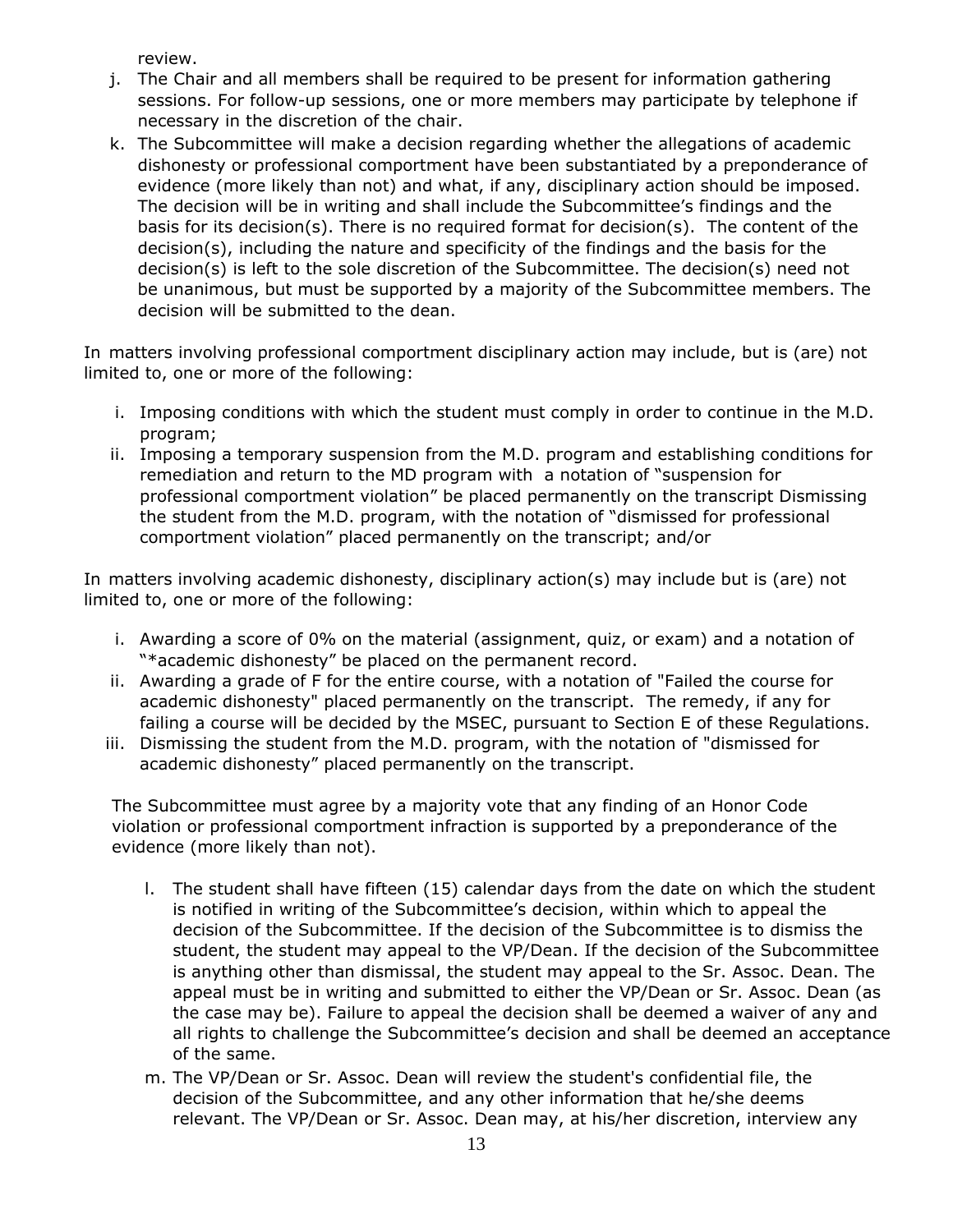review.

- j. The Chair and all members shall be required to be present for information gathering sessions. For follow-up sessions, one or more members may participate by telephone if necessary in the discretion of the chair.
- k. The Subcommittee will make a decision regarding whether the allegations of academic dishonesty or professional comportment have been substantiated by a preponderance of evidence (more likely than not) and what, if any, disciplinary action should be imposed. The decision will be in writing and shall include the Subcommittee's findings and the basis for its decision(s). There is no required format for decision(s). The content of the decision(s), including the nature and specificity of the findings and the basis for the decision(s) is left to the sole discretion of the Subcommittee. The decision(s) need not be unanimous, but must be supported by a majority of the Subcommittee members. The decision will be submitted to the dean.

In matters involving professional comportment disciplinary action may include, but is (are) not limited to, one or more of the following:

- i. Imposing conditions with which the student must comply in order to continue in the M.D. program;
- ii. Imposing a temporary suspension from the M.D. program and establishing conditions for remediation and return to the MD program with a notation of "suspension for professional comportment violation" be placed permanently on the transcript Dismissing the student from the M.D. program, with the notation of "dismissed for professional comportment violation" placed permanently on the transcript; and/or

In matters involving academic dishonesty, disciplinary action(s) may include but is (are) not limited to, one or more of the following:

- i. Awarding a score of 0% on the material (assignment, quiz, or exam) and a notation of "\*academic dishonesty" be placed on the permanent record.
- ii. Awarding a grade of F for the entire course, with a notation of "Failed the course for academic dishonesty" placed permanently on the transcript. The remedy, if any for failing a course will be decided by the MSEC, pursuant to Section E of these Regulations.
- iii. Dismissing the student from the M.D. program, with the notation of "dismissed for academic dishonesty" placed permanently on the transcript.

The Subcommittee must agree by a majority vote that any finding of an Honor Code violation or professional comportment infraction is supported by a preponderance of the evidence (more likely than not).

- l. The student shall have fifteen (15) calendar days from the date on which the student is notified in writing of the Subcommittee's decision, within which to appeal the decision of the Subcommittee. If the decision of the Subcommittee is to dismiss the student, the student may appeal to the VP/Dean. If the decision of the Subcommittee is anything other than dismissal, the student may appeal to the Sr. Assoc. Dean. The appeal must be in writing and submitted to either the VP/Dean or Sr. Assoc. Dean (as the case may be). Failure to appeal the decision shall be deemed a waiver of any and all rights to challenge the Subcommittee's decision and shall be deemed an acceptance of the same.
- m. The VP/Dean or Sr. Assoc. Dean will review the student's confidential file, the decision of the Subcommittee, and any other information that he/she deems relevant. The VP/Dean or Sr. Assoc. Dean may, at his/her discretion, interview any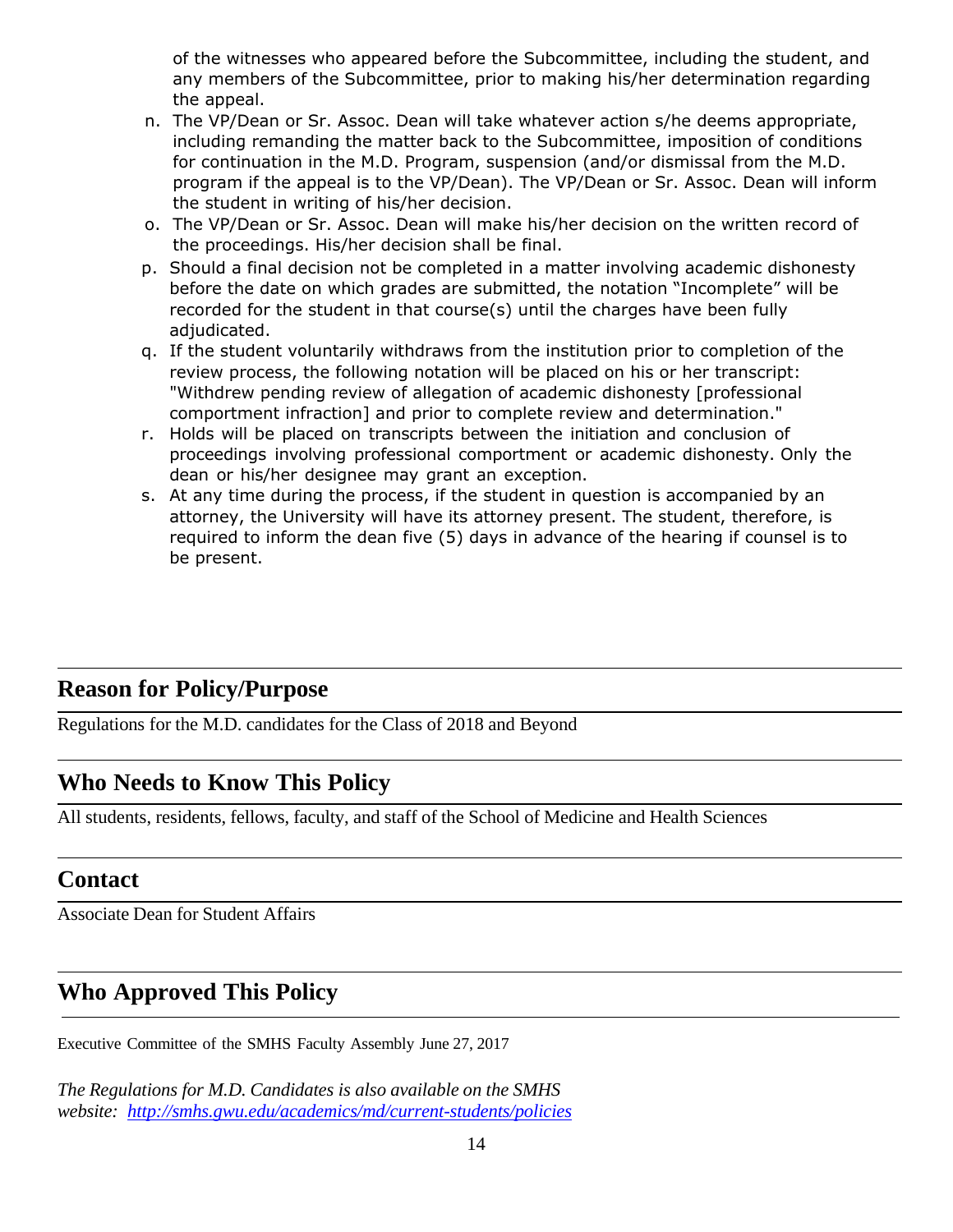of the witnesses who appeared before the Subcommittee, including the student, and any members of the Subcommittee, prior to making his/her determination regarding the appeal.

- n. The VP/Dean or Sr. Assoc. Dean will take whatever action s/he deems appropriate, including remanding the matter back to the Subcommittee, imposition of conditions for continuation in the M.D. Program, suspension (and/or dismissal from the M.D. program if the appeal is to the VP/Dean). The VP/Dean or Sr. Assoc. Dean will inform the student in writing of his/her decision.
- o. The VP/Dean or Sr. Assoc. Dean will make his/her decision on the written record of the proceedings. His/her decision shall be final.
- p. Should a final decision not be completed in a matter involving academic dishonesty before the date on which grades are submitted, the notation "Incomplete" will be recorded for the student in that course(s) until the charges have been fully adjudicated.
- q. If the student voluntarily withdraws from the institution prior to completion of the review process, the following notation will be placed on his or her transcript: "Withdrew pending review of allegation of academic dishonesty [professional comportment infraction] and prior to complete review and determination."
- r. Holds will be placed on transcripts between the initiation and conclusion of proceedings involving professional comportment or academic dishonesty. Only the dean or his/her designee may grant an exception.
- s. At any time during the process, if the student in question is accompanied by an attorney, the University will have its attorney present. The student, therefore, is required to inform the dean five (5) days in advance of the hearing if counsel is to be present.

## **Reason for Policy/Purpose**

Regulations for the M.D. candidates for the Class of 2018 and Beyond

## **Who Needs to Know This Policy**

All students, residents, fellows, faculty, and staff of the School of Medicine and Health Sciences

### **Contact**

Associate Dean for Student Affairs

# **Who Approved This Policy**

Executive Committee of the SMHS Faculty Assembly June 27, 2017

*The Regulations for M.D. Candidates is also available on the SMHS website: <http://smhs.gwu.edu/academics/md/current-students/policies>*